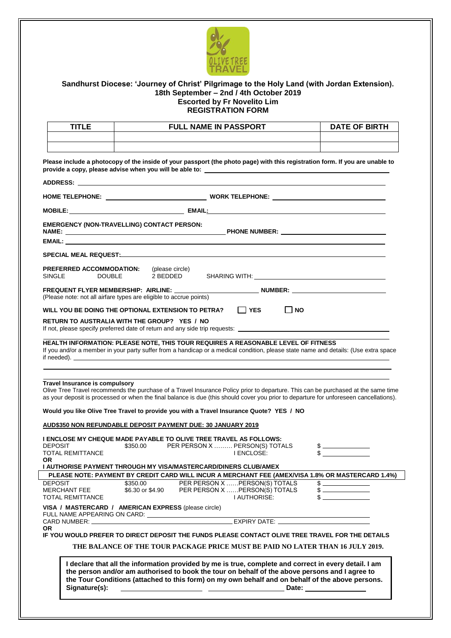

# **Sandhurst Diocese: 'Journey of Christ' Pilgrimage to the Holy Land (with Jordan Extension). 18th September – 2nd / 4th October 2019 Escorted by Fr Novelito Lim REGISTRATION FORM**

| TITI F | <b>FULL NAME IN PASSPORT</b> | <b>DATE OF BIRTH</b> |
|--------|------------------------------|----------------------|
|        |                              |                      |
|        |                              |                      |

**Please include a photocopy of the inside of your passport (the photo page) with this registration form. If you are unable to provide a copy, please advise when you will be able to:**

|                                                           | <b>EMERGENCY (NON-TRAVELLING) CONTACT PERSON:</b>                                                                                                                                                                                                                                                             |
|-----------------------------------------------------------|---------------------------------------------------------------------------------------------------------------------------------------------------------------------------------------------------------------------------------------------------------------------------------------------------------------|
|                                                           |                                                                                                                                                                                                                                                                                                               |
|                                                           |                                                                                                                                                                                                                                                                                                               |
| PREFERRED ACCOMMODATION:<br><b>SINGLE</b>                 | (please circle)<br>2 BEDDED<br><b>DOUBLE</b>                                                                                                                                                                                                                                                                  |
|                                                           | FREQUENT FLYER MEMBERSHIP: AIRLINE: ________________________________NUMBER: ________________________<br>(Please note: not all airfare types are eligible to accrue points)                                                                                                                                    |
|                                                           | $\Box$ YES<br>WILL YOU BE DOING THE OPTIONAL EXTENSION TO PETRA?<br>    NO                                                                                                                                                                                                                                    |
|                                                           | RETURN TO AUSTRALIA WITH THE GROUP? YES / NO<br>If not, please specify preferred date of return and any side trip requests: _______________________                                                                                                                                                           |
|                                                           | HEALTH INFORMATION: PLEASE NOTE, THIS TOUR REQUIRES A REASONABLE LEVEL OF FITNESS<br>If you and/or a member in your party suffer from a handicap or a medical condition, please state name and details: (Use extra space<br>if needed).                                                                       |
|                                                           | Travel Insurance is compulsory<br>Olive Tree Travel recommends the purchase of a Travel Insurance Policy prior to departure. This can be purchased at the same time<br>as your deposit is processed or when the final balance is due (this should cover you prior to departure for unforeseen cancellations). |
|                                                           | Would you like Olive Tree Travel to provide you with a Travel Insurance Quote? YES / NO<br>AUD\$350 NON REFUNDABLE DEPOSIT PAYMENT DUE: 30 JANUARY 2019<br>I ENCLOSE MY CHEQUE MADE PAYABLE TO OLIVE TREE TRAVEL AS FOLLOWS:                                                                                  |
| <b>DEPOSIT</b><br><b>TOTAL REMITTANCE</b><br><b>OR</b>    | \$350.00 PER PERSON X  PERSON(S) TOTALS<br>$\begin{array}{c}\n\text{\$}\n\end{array}$<br>I ENCLOSE:                                                                                                                                                                                                           |
|                                                           | I AUTHORISE PAYMENT THROUGH MY VISA/MASTERCARD/DINERS CLUB/AMEX                                                                                                                                                                                                                                               |
|                                                           | PLEASE NOTE: PAYMENT BY CREDIT CARD WILL INCUR A MERCHANT FEE (AMEX/VISA 1.8% OR MASTERCARD 1.4%)                                                                                                                                                                                                             |
| <b>DEPOSIT</b><br>MERCHANT FEE<br><b>TOTAL REMITTANCE</b> | \$350.00<br>PER PERSON X  PERSON(S) TOTALS<br>\$6.30 or \$4.90 PER PERSON X  PERSON(S) TOTALS<br>$\frac{1}{2}$<br>I AUTHORISE:                                                                                                                                                                                |
|                                                           | VISA / MASTERCARD / AMERICAN EXPRESS (please circle)                                                                                                                                                                                                                                                          |
|                                                           |                                                                                                                                                                                                                                                                                                               |
| OR.                                                       | IF YOU WOULD PREFER TO DIRECT DEPOSIT THE FUNDS PLEASE CONTACT OLIVE TREE TRAVEL FOR THE DETAILS                                                                                                                                                                                                              |
|                                                           | THE BALANCE OF THE TOUR PACKAGE PRICE MUST BE PAID NO LATER THAN 16 JULY 2019.                                                                                                                                                                                                                                |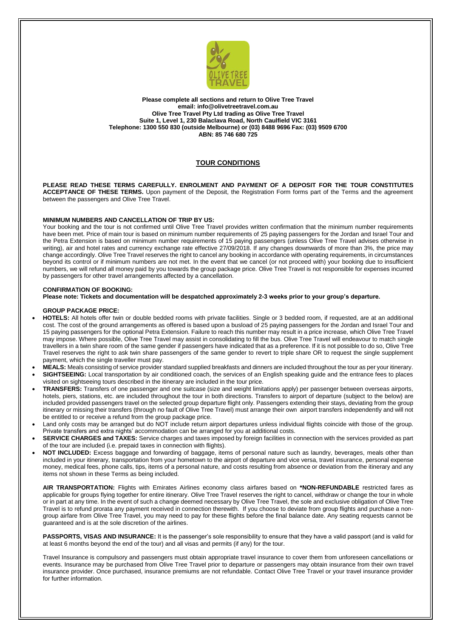

**Please complete all sections and return to Olive Tree Travel email: [info@](mailto:steven@)olivetreetravel.com.au Olive Tree Travel Pty Ltd trading as Olive Tree Travel Suite 1, Level 1, 230 Balaclava Road, North Caulfield VIC 3161 Telephone: 1300 550 830 (outside Melbourne) or (03) 8488 9696 Fax: (03) 9509 6700 ABN: 85 746 680 725**

## **TOUR CONDITIONS**

**PLEASE READ THESE TERMS CAREFULLY. ENROLMENT AND PAYMENT OF A DEPOSIT FOR THE TOUR CONSTITUTES ACCEPTANCE OF THESE TERMS.** Upon payment of the Deposit, the Registration Form forms part of the Terms and the agreement between the passengers and Olive Tree Travel.

### **MINIMUM NUMBERS AND CANCELLATION OF TRIP BY US:**

Your booking and the tour is not confirmed until Olive Tree Travel provides written confirmation that the minimum number requirements have been met. Price of main tour is based on minimum number requirements of 25 paying passengers for the Jordan and Israel Tour and the Petra Extension is based on minimum number requirements of 15 paying passengers (unless Olive Tree Travel advises otherwise in writing), air and hotel rates and currency exchange rate effective 27/09/2018. If any changes downwards of more than 3%, the price may change accordingly. Olive Tree Travel reserves the right to cancel any booking in accordance with operating requirements, in circumstances beyond its control or if minimum numbers are not met. In the event that we cancel (or not proceed with) your booking due to insufficient numbers, we will refund all money paid by you towards the group package price. Olive Tree Travel is not responsible for expenses incurred by passengers for other travel arrangements affected by a cancellation.

#### **CONFIRMATION OF BOOKING:**

**Please note: Tickets and documentation will be despatched approximately 2-3 weeks prior to your group's departure.**

### **GROUP PACKAGE PRICE:**

- **HOTELS:** All hotels offer twin or double bedded rooms with private facilities. Single or 3 bedded room, if requested, are at an additional cost. The cost of the ground arrangements as offered is based upon a busload of 25 paying passengers for the Jordan and Israel Tour and 15 paying passengers for the optional Petra Extension. Failure to reach this number may result in a price increase, which Olive Tree Travel may impose. Where possible, Olive Tree Travel may assist in consolidating to fill the bus. Olive Tree Travel will endeavour to match single travellers in a twin share room of the same gender if passengers have indicated that as a preference. If it is not possible to do so, Olive Tree Travel reserves the right to ask twin share passengers of the same gender to revert to triple share OR to request the single supplement payment, which the single traveller must pay.
- **MEALS:** Meals consisting of service provider standard supplied breakfasts and dinners are included throughout the tour as per your itinerary. **SIGHTSEEING:** Local transportation by air conditioned coach, the services of an English speaking guide and the entrance fees to places
- visited on sightseeing tours described in the itinerary are included in the tour price. **TRANSFERS:** Transfers of one passenger and one suitcase (size and weight limitations apply) per passenger between overseas airports, hotels, piers, stations, etc. are included throughout the tour in both directions. Transfers to airport of departure (subject to the below) are included provided passengers travel on the selected group departure flight only. Passengers extending their stays, deviating from the group itinerary or missing their transfers (through no fault of Olive Tree Travel) must arrange their own airport transfers independently and will not be entitled to or receive a refund from the group package price.
- Land only costs may be arranged but do NOT include return airport departures unless individual flights coincide with those of the group. Private transfers and extra nights' accommodation can be arranged for you at additional costs.
- **SERVICE CHARGES and TAXES:** Service charges and taxes imposed by foreign facilities in connection with the services provided as part of the tour are included (i.e. prepaid taxes in connection with flights).
- **NOT INCLUDED:** Excess baggage and forwarding of baggage, items of personal nature such as laundry, beverages, meals other than included in your itinerary, transportation from your hometown to the airport of departure and vice versa, travel insurance, personal expense money, medical fees, phone calls, tips, items of a personal nature, and costs resulting from absence or deviation from the itinerary and any items not shown in these Terms as being included.

**AIR TRANSPORTATION:** Flights with Emirates Airlines economy class airfares based on **\*NON-REFUNDABLE** restricted fares as applicable for groups flying together for entire itinerary. Olive Tree Travel reserves the right to cancel, withdraw or change the tour in whole or in part at any time. In the event of such a change deemed necessary by Olive Tree Travel, the sole and exclusive obligation of Olive Tree Travel is to refund prorata any payment received in connection therewith. If you choose to deviate from group flights and purchase a nongroup airfare from Olive Tree Travel, you may need to pay for these flights before the final balance date. Any seating requests cannot be guaranteed and is at the sole discretion of the airlines.

**PASSPORTS, VISAS AND INSURANCE:** It is the passenger's sole responsibility to ensure that they have a valid passport (and is valid for at least 6 months beyond the end of the tour) and all visas and permits (if any) for the tour.

Travel Insurance is compulsory and passengers must obtain appropriate travel insurance to cover them from unforeseen cancellations or events. Insurance may be purchased from Olive Tree Travel prior to departure or passengers may obtain insurance from their own travel insurance provider. Once purchased, insurance premiums are not refundable. Contact Olive Tree Travel or your travel insurance provider for further information.